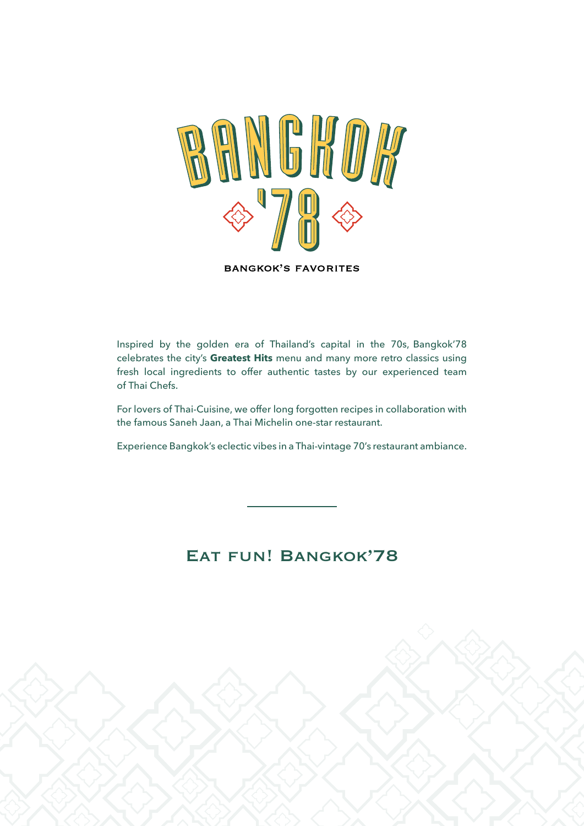

**BANGKOK'S FAVORITES** 

Inspired by the golden era of Thailand's capital in the 70s, Bangkok'78 celebrates the city's **Greatest Hits** menu and many more retro classics using fresh local ingredients to offer authentic tastes by our experienced team of Thai Chefs.

For lovers of Thai-Cuisine, we offer long forgotten recipes in collaboration with the famous Saneh Jaan, a Thai Michelin one-star restaurant.

Experience Bangkok's eclectic vibes in a Thai-vintage 70's restaurant ambiance.

### Eat fun! Bangkok'78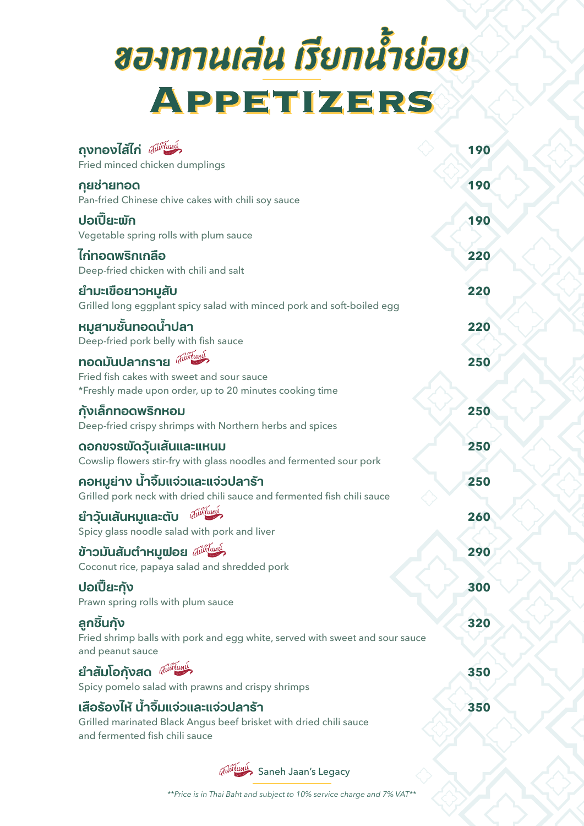# ของทานเล่น เรียกน้ำย่อย APPETIZERS

| ถุงทองไส้ไก่ $\widetilde{a^{\text{uniform}}}$                                                                                                           | 190 |
|---------------------------------------------------------------------------------------------------------------------------------------------------------|-----|
| Fried minced chicken dumplings                                                                                                                          |     |
| กฺยช่ายทอด<br>Pan-fried Chinese chive cakes with chili soy sauce                                                                                        | 190 |
| ปอเปี๊ยะพัก<br>Vegetable spring rolls with plum sauce                                                                                                   | 190 |
| ไก่ทอดพริกเกลือ<br>Deep-fried chicken with chili and salt                                                                                               | 220 |
| ยำมะเขื่อยาวหมูสับ<br>Grilled long eggplant spicy salad with minced pork and soft-boiled egg                                                            | 220 |
| หมูสามชั้นทอดน้ำปลา<br>Deep-fried pork belly with fish sauce                                                                                            | 220 |
| nอดมันปลากราย <sup><i>ฝีนี้เป็นหนึ่</i>ว</sup><br>Fried fish cakes with sweet and sour sauce<br>*Freshly made upon order, up to 20 minutes cooking time | 250 |
| กังเล็กทอดพริกหอม<br>Deep-fried crispy shrimps with Northern herbs and spices                                                                           | 250 |
| ดอกขจรพัดวันเส้นและแหนม<br>Cowslip flowers stir-fry with glass noodles and fermented sour pork                                                          | 250 |
| คอหมูย่าง น้ำจิ้มแจ่วและแจ่วปลาร้า<br>Grilled pork neck with dried chili sauce and fermented fish chili sauce                                           | 250 |
| auni<br>ยำวันเส้นหมูและตับ<br>Spicy glass noodle salad with pork and liver                                                                              | 260 |
| ข้าวมันสัมตำหมูฟอย $\widetilde{a}$ น่พื้นพุ่ $\lambda$<br>Coconut rice, papaya salad and shredded pork                                                  | 290 |
| ปอเปี๊ยะกัง<br>Prawn spring rolls with plum sauce                                                                                                       | 300 |
| ลูกชิันกัง<br>Fried shrimp balls with pork and egg white, served with sweet and sour sauce<br>and peanut sauce                                          | 320 |
| ยำสัมโอกังสด $\widetilde{u}$ ม่พื้นหนึ่ง<br>Spicy pomelo salad with prawns and crispy shrimps                                                           | 350 |
| เสือร้องไห้ น้ำจิ้มแจ่วและแจ่วปลาร้า<br>Grilled marinated Black Angus beef brisket with dried chili sauce<br>and fermented fish chili sauce             | 350 |

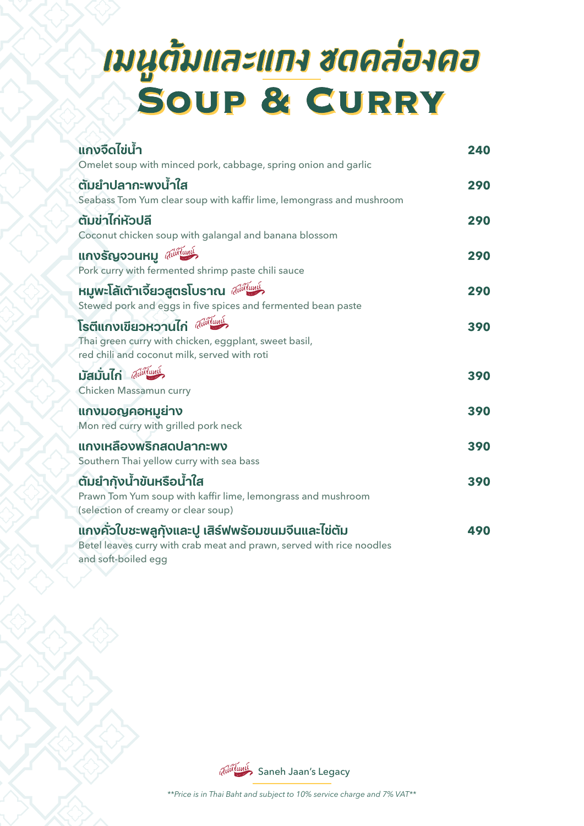# มนูต้มและแกง ซดดล่องคอ<br>Soup & CURRY

| <b>แกงจืดไข่น้ำ</b><br>Omelet soup with minced pork, cabbage, spring onion and garlic                                                                             | 240 |
|-------------------------------------------------------------------------------------------------------------------------------------------------------------------|-----|
| ตัมยำปลากะพงน้ำใส<br>Seabass Tom Yum clear soup with kaffir lime, lemongrass and mushroom                                                                         | 290 |
| ตัมข่าไก่หัวปลี<br>Coconut chicken soup with galangal and banana blossom                                                                                          | 290 |
| แกงรัญจวนหมู <i>ฝีน่หืนหน</i> ึ่ว<br>Pork curry with fermented shrimp paste chili sauce                                                                           | 290 |
| หมูพะโล้เต้าเจี้ยวสูตรโบราณ <i>ฝีนี้ในมุ่ง</i><br>Stewed pork and eggs in five spices and fermented bean paste                                                    | 290 |
| โรตีแกงเขียวหวานไก่ <sup>(สู่มั่ง</sup> แห <sup>้ง</sup><br>Thai green curry with chicken, eggplant, sweet basil,<br>red chili and coconut milk, served with roti | 390 |
| มัสมั่นไก่ <i>สม่นี่น</i> หนึ่ง<br>Chicken Massamun curry                                                                                                         | 390 |
| แกงมอญคอหมูย่าง<br>Mon red curry with grilled pork neck                                                                                                           | 390 |
| <b>แกงเหลืองพริกสดปลากะพง</b><br>Southern Thai yellow curry with sea bass                                                                                         | 390 |
| ตัมยำกังน้ำขันหรือน้ำใส<br>Prawn Tom Yum soup with kaffir lime, lemongrass and mushroom<br>(selection of creamy or clear soup)                                    | 390 |
| ้แกงคั่วใบชะพลูกังและปู เสิร์ฟพร้อมขนมจีนและไข่ต้ม<br>Betel leaves curry with crab meat and prawn, served with rice noodles<br>and soft-boiled egg                | 490 |

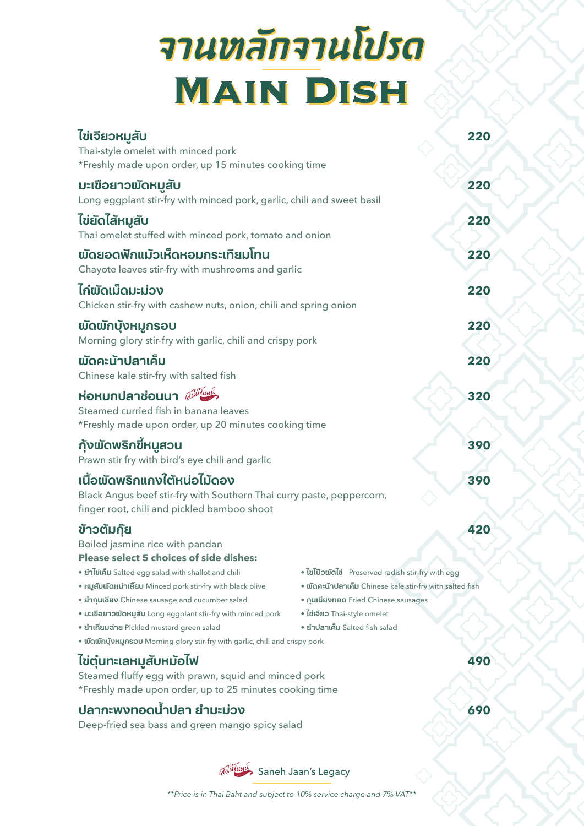# จานหลักจานโปรด **MAIN DISH**

| ไข่เจียวหมูสับ<br>Thai-style omelet with minced pork<br>*Freshly made upon order, up 15 minutes cooking time                                                                                                                                   |                                                                                                                    | 220 |
|------------------------------------------------------------------------------------------------------------------------------------------------------------------------------------------------------------------------------------------------|--------------------------------------------------------------------------------------------------------------------|-----|
| มะเขือยาวพัดหมูสับ<br>Long eggplant stir-fry with minced pork, garlic, chili and sweet basil                                                                                                                                                   |                                                                                                                    | 220 |
| ไข่ยัดไสัหมูสับ<br>Thai omelet stuffed with minced pork, tomato and onion                                                                                                                                                                      |                                                                                                                    | 220 |
| พัดยอดฟักแม้วเห็ดหอมกระเทียมโทน<br>Chayote leaves stir-fry with mushrooms and garlic                                                                                                                                                           |                                                                                                                    | 220 |
| ໄก่ພັດເມົດມະມ່ວง<br>Chicken stir-fry with cashew nuts, onion, chili and spring onion                                                                                                                                                           |                                                                                                                    | 220 |
| พัดพักบุ้งหมูกรอบ<br>Morning glory stir-fry with garlic, chili and crispy pork                                                                                                                                                                 |                                                                                                                    | 220 |
| พัดคะน้าปลาเค็ม<br>Chinese kale stir-fry with salted fish                                                                                                                                                                                      |                                                                                                                    | 220 |
| ห่อหมกปลาช่อนนา $\widetilde{w}$ นี้พี่แพ่<br>Steamed curried fish in banana leaves<br>*Freshly made upon order, up 20 minutes cooking time                                                                                                     |                                                                                                                    | 320 |
| กังพัดพริกขี้หนูสวน<br>Prawn stir fry with bird's eye chili and garlic                                                                                                                                                                         |                                                                                                                    | 390 |
| เนื้อพัดพริกแกงใต้หน่อไม้ดอง<br>Black Angus beef stir-fry with Southern Thai curry paste, peppercorn,<br>finger root, chili and pickled bamboo shoot                                                                                           |                                                                                                                    | 390 |
| ข้าวตัมก๊ย<br>Boiled jasmine rice with pandan<br>Please select 5 choices of side dishes:<br>• ยำไข่เค็ม Salted egg salad with shallot and chili<br>• หมูสับพัดหนำเลี้ยบ Minced pork stir-fry with black olive                                  | · <i>l</i> ollowald Preserved radish stir-fry with egg<br>· พัดคะน้าปลาเค็ม Chinese kale stir-fry with salted fish | 420 |
| • ยำกุนเชียง Chinese sausage and cucumber salad<br>• มะเขือยาวพัดหมูสับ Long eggplant stir-fry with minced pork<br>• ยำเกี่ยมฉ่าย Pickled mustard green salad<br>• พัดพักบุ้งหมูกรอบ Morning glory stir-fry with garlic, chili and crispy pork | • กุนเชียงทอด Fried Chinese sausages<br>• ไข่เจียว Thai-style omelet<br>• ยำปลาเค็ม Salted fish salad              |     |
| ไข่ตุ๋นทะเลหมูสับหมัอไฟ<br>Steamed fluffy egg with prawn, squid and minced pork<br>*Freshly made upon order, up to 25 minutes cooking time                                                                                                     |                                                                                                                    | 490 |

### **ปลากะพงทอดน้ำำ � ปลา ยำำ มะม่่วง 690**

Deep-fried sea bass and green mango spicy salad

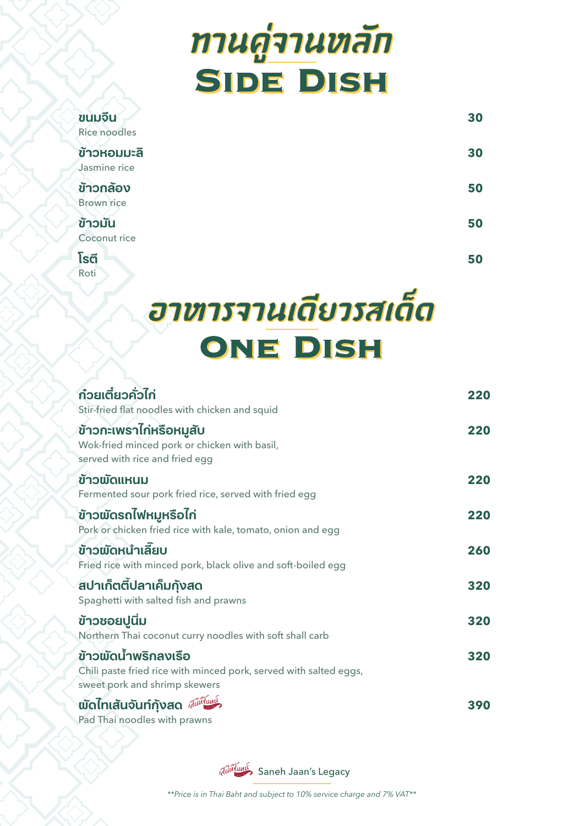# ทานคู่จานหลัก **SIDE DISH**

| ขนมจีน<br>Rice noodles      | 30 |
|-----------------------------|----|
| ข้าวหอมมะลิ<br>Jasmine rice | 30 |
| ข้าวกล้อง<br>Brown rice     | 50 |
| ข้าวมัน<br>Coconut rice     | 50 |
| โรตี                        | 50 |

Roti

# ฮาหารจานเดียวรสเด็ด ONE DISH

| <b>ก๋วยเตี๋ยวคั่วไก่</b><br>Stir-fried flat noodles with chicken and squid                                                 | 220 |
|----------------------------------------------------------------------------------------------------------------------------|-----|
| ้ข้าวกะเพราไก่หรือหมูสับ<br>Wok-fried minced pork or chicken with basil,<br>served with rice and fried egg                 | 220 |
| ข้าวพัดแหนม<br>Fermented sour pork fried rice, served with fried egg                                                       | 220 |
| ข้าวพัดรถไฟหมูหรือไก่<br>Pork or chicken fried rice with kale, tomato, onion and egg                                       | 220 |
| ข้าวพัดหนำเลี้ยบ<br>Fried rice with minced pork, black olive and soft-boiled egg                                           | 260 |
| ่สปาเก็ตติ้ปลาเค็มกังสด<br>Spaghetti with salted fish and prawns                                                           | 320 |
| ข้าวซอยปูนิ่ม<br>Northern Thai coconut curry noodles with soft shall carb                                                  | 320 |
| ข้าวพัดน้ำพริกลงเรือ<br>Chili paste fried rice with minced pork, served with salted eggs,<br>sweet pork and shrimp skewers | 320 |
| พัดไทเสันจันท์กังสด <i>ฝีนี้ในมู</i> ร์<br>Pad Thai noodles with prawns                                                    | 390 |

auitumi Saneh Jaan's Legacy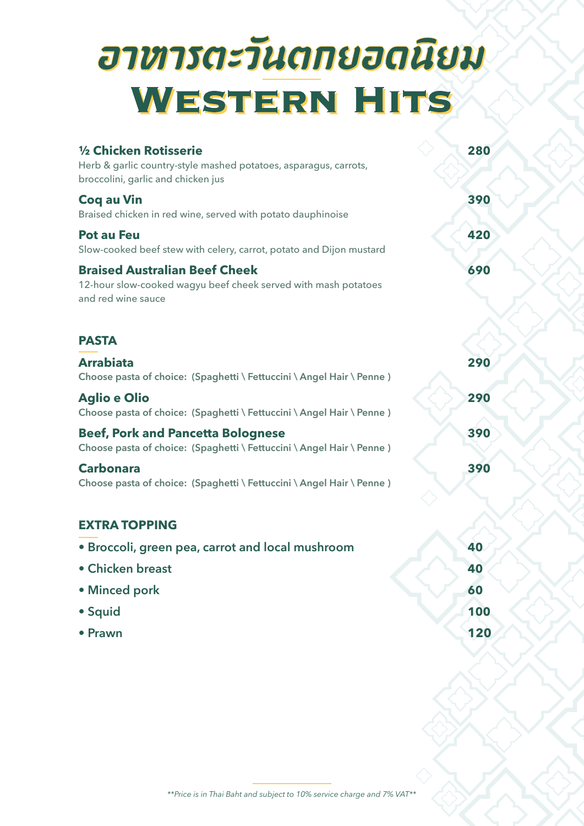# อาหารตะวันตกยอดนิยม WESTERN HITS

| 1/2 Chicken Rotisserie<br>Herb & garlic country-style mashed potatoes, asparagus, carrots,<br>broccolini, garlic and chicken jus | 280 |
|----------------------------------------------------------------------------------------------------------------------------------|-----|
| <b>Cog au Vin</b><br>Braised chicken in red wine, served with potato dauphinoise                                                 | 390 |
| <b>Pot au Feu</b><br>Slow-cooked beef stew with celery, carrot, potato and Dijon mustard                                         | 420 |
| <b>Braised Australian Beef Cheek</b><br>12-hour slow-cooked wagyu beef cheek served with mash potatoes<br>and red wine sauce     | 690 |
| <b>PASTA</b>                                                                                                                     |     |
| <b>Arrabiata</b><br>Choose pasta of choice: (Spaghetti \ Fettuccini \ Angel Hair \ Penne)                                        | 290 |
| <b>Aglio e Olio</b><br>Choose pasta of choice: (Spaghetti \ Fettuccini \ Angel Hair \ Penne)                                     | 290 |
| <b>Beef, Pork and Pancetta Bolognese</b><br>Choose pasta of choice: (Spaghetti \ Fettuccini \ Angel Hair \ Penne)                | 390 |
| <b>Carbonara</b><br>Choose pasta of choice: (Spaghetti \ Fettuccini \ Angel Hair \ Penne)                                        | 390 |
| <b>EXTRA TOPPING</b>                                                                                                             |     |
| • Broccoli, green pea, carrot and local mushroom                                                                                 | 40  |
| • Chicken breast                                                                                                                 | 40  |
| • Minced pork                                                                                                                    | 60  |
| • Squid                                                                                                                          | 100 |
| • Prawn                                                                                                                          | 120 |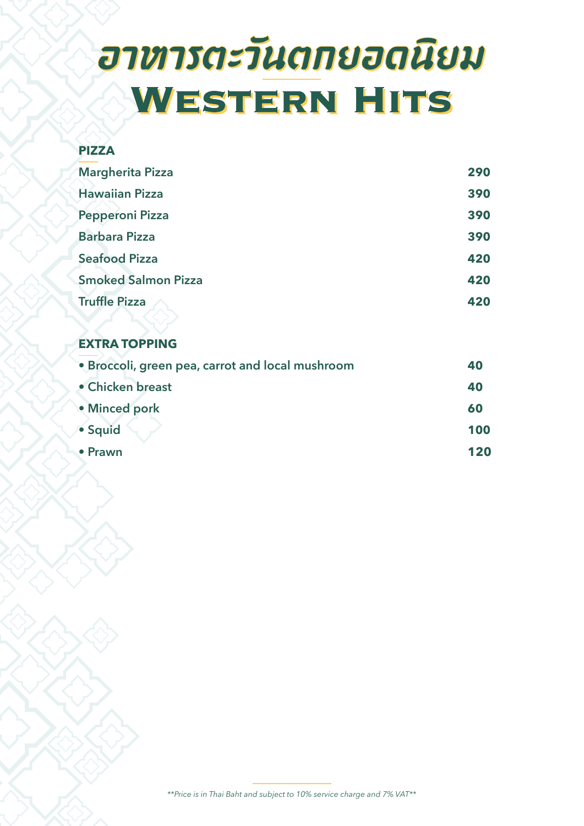# อาหารตะวันตกยอดนิยม WESTERN HITS

### **PIZZA Margherita Pizza 290 Hawaiian Pizza 390 Pepperoni Pizza 390 Barbara Pizza 390 Seafood Pizza 420 Smoked Salmon Pizza 420 Truffle Pizza 420**

### **EXTRA TOPPING**

| • Broccoli, green pea, carrot and local mushroom | 40  |
|--------------------------------------------------|-----|
| • Chicken breast                                 | 40  |
| • Minced pork                                    | 60  |
| · Squid                                          | 100 |
| • Prawn                                          | 120 |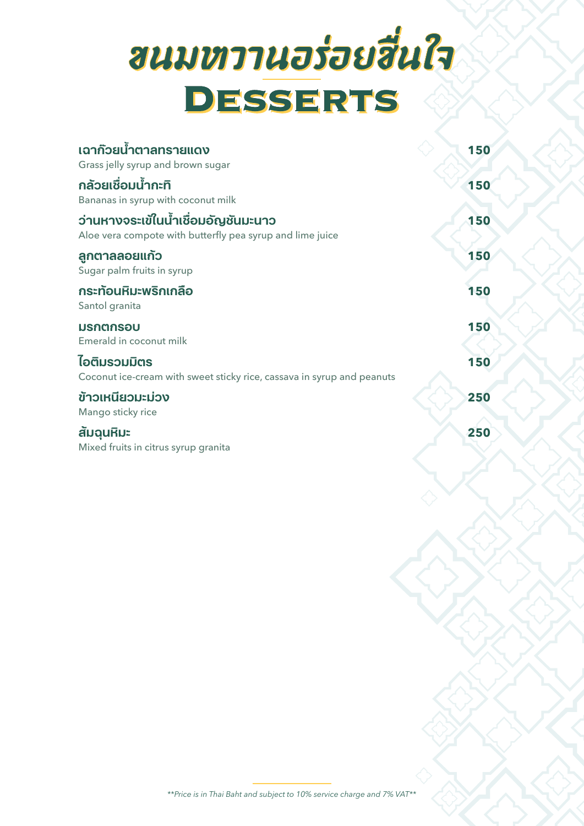# ขนมหาานอร่อยฮื่นใจ DESSERTS

| เฉาก๊วยน้ำตาลทรายแดง                                                                             | 150 |  |
|--------------------------------------------------------------------------------------------------|-----|--|
| Grass jelly syrup and brown sugar                                                                |     |  |
| กล้วยเชื่อมน้ำกะทิ<br>Bananas in syrup with coconut milk                                         | 150 |  |
| ว่านหางจระเข้ในน้ำเชื่อมอัญชันมะนาว<br>Aloe vera compote with butterfly pea syrup and lime juice | 150 |  |
| ลูกตาลลอยแก้ว<br>Sugar palm fruits in syrup                                                      | 150 |  |
| กระท้อนหิมะพริกเกลือ<br>Santol granita                                                           | 150 |  |
| มรกตกรอบ<br>Emerald in coconut milk                                                              | 150 |  |
| ไอติมรวมมิตร<br>Coconut ice-cream with sweet sticky rice, cassava in syrup and peanuts           | 150 |  |
| ข้าวเหนียวมะม่วง<br>Mango sticky rice                                                            | 250 |  |
| สัมฉุนหิมะ<br>Mixed fruits in citrus syrup granita                                               | 250 |  |
|                                                                                                  |     |  |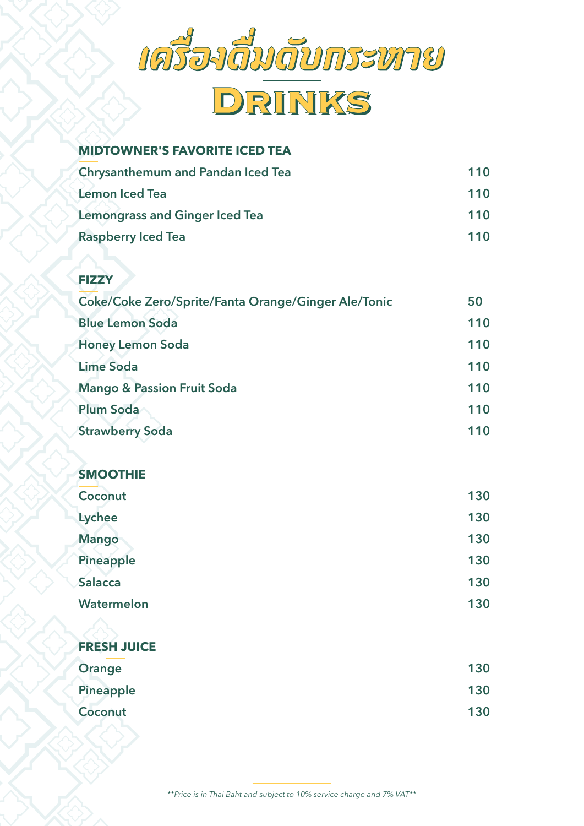

## DRINKS

### **MIDTOWNER'S FAVORITE ICED TEA**

| <b>Chrysanthemum and Pandan Iced Tea</b> | 110 |
|------------------------------------------|-----|
| <b>Lemon Iced Tea</b>                    | 110 |
| <b>Lemongrass and Ginger Iced Tea</b>    | 110 |
| <b>Raspberry Iced Tea</b>                | 110 |

### **FIZZY**

| Coke/Coke Zero/Sprite/Fanta Orange/Ginger Ale/Tonic | 50  |
|-----------------------------------------------------|-----|
| <b>Blue Lemon Soda</b>                              | 110 |
| <b>Honey Lemon Soda</b>                             | 110 |
| <b>Lime Soda</b>                                    | 110 |
| <b>Mango &amp; Passion Fruit Soda</b>               | 110 |
| <b>Plum Soda</b>                                    | 110 |
| <b>Strawberry Soda</b>                              | 110 |

### **SMOOTHIE**

| Coconut        | 130 |
|----------------|-----|
| Lychee         | 130 |
| <b>Mango</b>   | 130 |
| Pineapple      | 130 |
| <b>Salacca</b> | 130 |
| Watermelon     | 130 |
|                |     |

### **FRESH JUICE**

| Orange    | 130 |
|-----------|-----|
| Pineapple | 130 |
| Coconut   | 130 |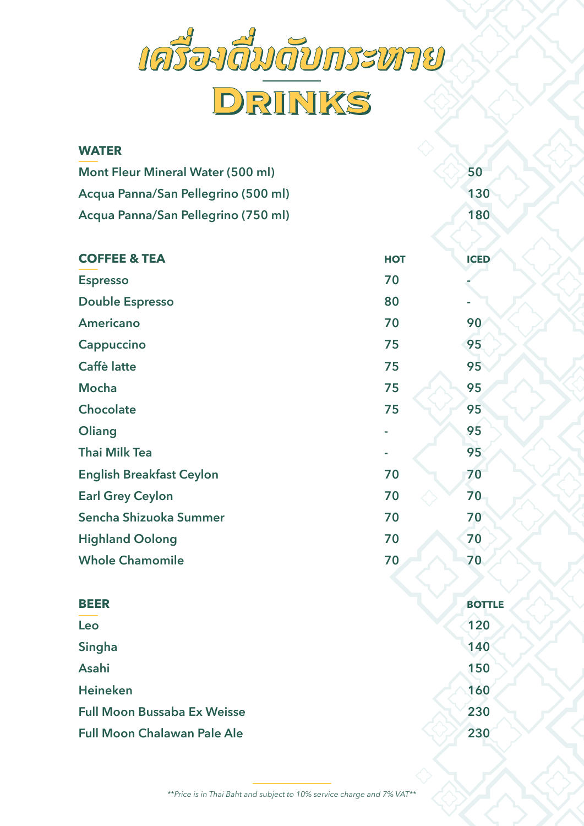

| <b>WATER</b>                             |            |               |
|------------------------------------------|------------|---------------|
| <b>Mont Fleur Mineral Water (500 ml)</b> |            | 50            |
| Acqua Panna/San Pellegrino (500 ml)      |            | 130           |
| Acqua Panna/San Pellegrino (750 ml)      |            | 180           |
| <b>COFFEE &amp; TEA</b>                  | <b>HOT</b> | <b>ICED</b>   |
| <b>Espresso</b>                          | 70         |               |
| <b>Double Espresso</b>                   | 80         |               |
| Americano                                | 70         | 90            |
| Cappuccino                               | 75         | 95            |
| <b>Caffè latte</b>                       | 75         | 95            |
| <b>Mocha</b>                             | 75         | 95            |
| <b>Chocolate</b>                         | 75         | 95            |
| Oliang                                   |            | 95            |
| <b>Thai Milk Tea</b>                     |            | 95            |
| <b>English Breakfast Ceylon</b>          | 70         | 70            |
| <b>Earl Grey Ceylon</b>                  | 70         | 70            |
| Sencha Shizuoka Summer                   | 70         | 70            |
| <b>Highland Oolong</b>                   | 70         | 70            |
| <b>Whole Chamomile</b>                   | 70         | 70            |
| <b>BEER</b>                              |            | <b>BOTTLE</b> |
| Leo                                      |            | 120           |
| Singha                                   |            | 140           |
| Asahi                                    |            | 150           |
| <b>Heineken</b>                          |            | 160           |
| <b>Full Moon Bussaba Ex Weisse</b>       |            | 230           |
| <b>Full Moon Chalawan Pale Ale</b>       |            | 230           |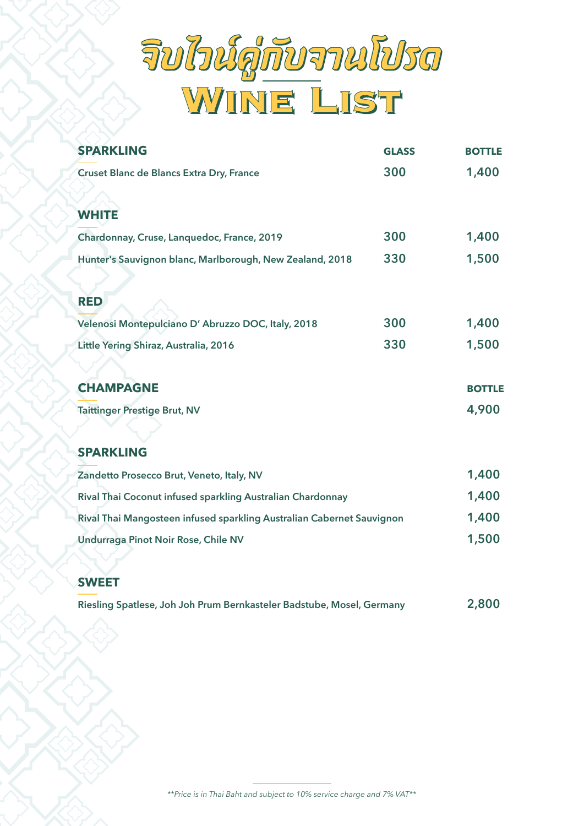

| <b>SPARKLING</b>                                           | <b>GLASS</b> | <b>BOTTLE</b> |
|------------------------------------------------------------|--------------|---------------|
| Cruset Blanc de Blancs Extra Dry, France                   | 300          | 1,400         |
| <b>WHITE</b>                                               |              |               |
| Chardonnay, Cruse, Lanquedoc, France, 2019                 | 300          | 1,400         |
| Hunter's Sauvignon blanc, Marlborough, New Zealand, 2018   | 330          | 1,500         |
| <b>RED</b>                                                 |              |               |
| Velenosi Montepulciano D' Abruzzo DOC, Italy, 2018         | 300          | 1,400         |
| Little Yering Shiraz, Australia, 2016                      | 330          | 1,500         |
| <b>CHAMPAGNE</b>                                           |              | <b>BOTTLE</b> |
| <b>Taittinger Prestige Brut, NV</b>                        |              | 4,900         |
| <b>SPARKLING</b>                                           |              |               |
| Zandetto Prosecco Brut, Veneto, Italy, NV                  |              | 1,400         |
| Rival Thai Coconut infused sparkling Australian Chardonnay |              | 1,400         |

| <u>kali ilidi Coconut ililused sparkiliy Australian Chardonnay</u>    | 17 T V V |
|-----------------------------------------------------------------------|----------|
| Rival Thai Mangosteen infused sparkling Australian Cabernet Sauvignon | 1,400    |
| <b>Undurraga Pinot Noir Rose, Chile NV</b>                            | 1.500    |

#### **SWEET**

| Riesling Spatlese, Joh Joh Prum Bernkasteler Badstube, Mosel, Germany |  | 2,800 |
|-----------------------------------------------------------------------|--|-------|
|-----------------------------------------------------------------------|--|-------|